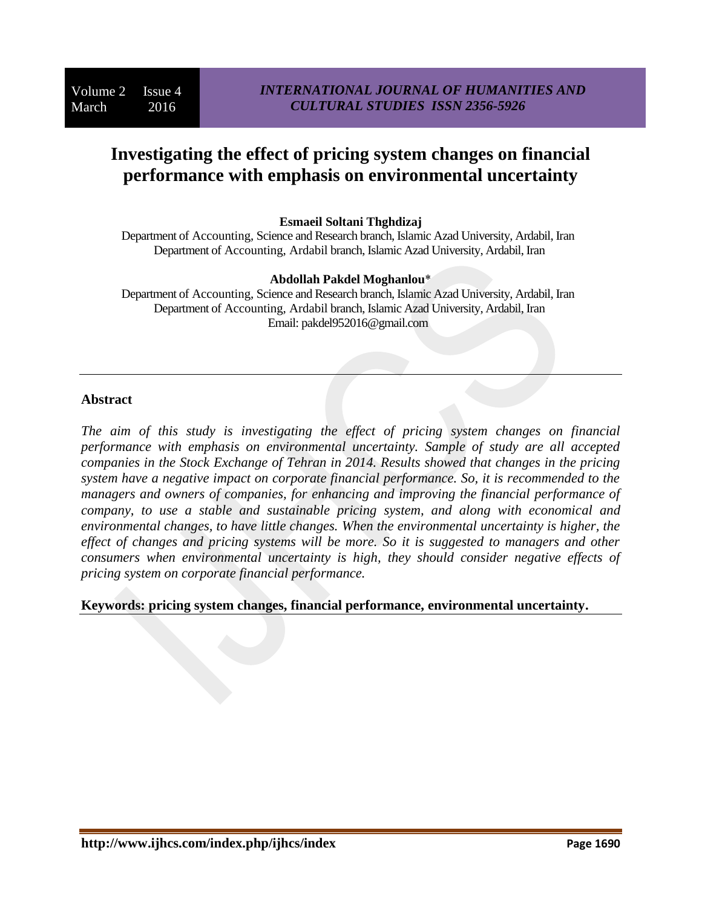# **Investigating the effect of pricing system changes on financial performance with emphasis on environmental uncertainty**

#### **Esmaeil Soltani Thghdizaj**

Department of Accounting, Science and Research branch, Islamic Azad University, Ardabil, Iran Department of Accounting, Ardabil branch, Islamic Azad University, Ardabil, Iran

#### **Abdollah Pakdel Moghanlou**\*

Department of Accounting, Science and Research branch, Islamic Azad University, Ardabil, Iran Department of Accounting, Ardabil branch, Islamic Azad University, Ardabil, Iran Email: pakdel952016@gmail.com

#### **Abstract**

*The aim of this study is investigating the effect of pricing system changes on financial performance with emphasis on environmental uncertainty. Sample of study are all accepted companies in the Stock Exchange of Tehran in 2014. Results showed that changes in the pricing system have a negative impact on corporate financial performance. So, it is recommended to the managers and owners of companies, for enhancing and improving the financial performance of company, to use a stable and sustainable pricing system, and along with economical and environmental changes, to have little changes. When the environmental uncertainty is higher, the effect of changes and pricing systems will be more. So it is suggested to managers and other consumers when environmental uncertainty is high, they should consider negative effects of pricing system on corporate financial performance.*

## **Keywords: pricing system changes, financial performance, environmental uncertainty.**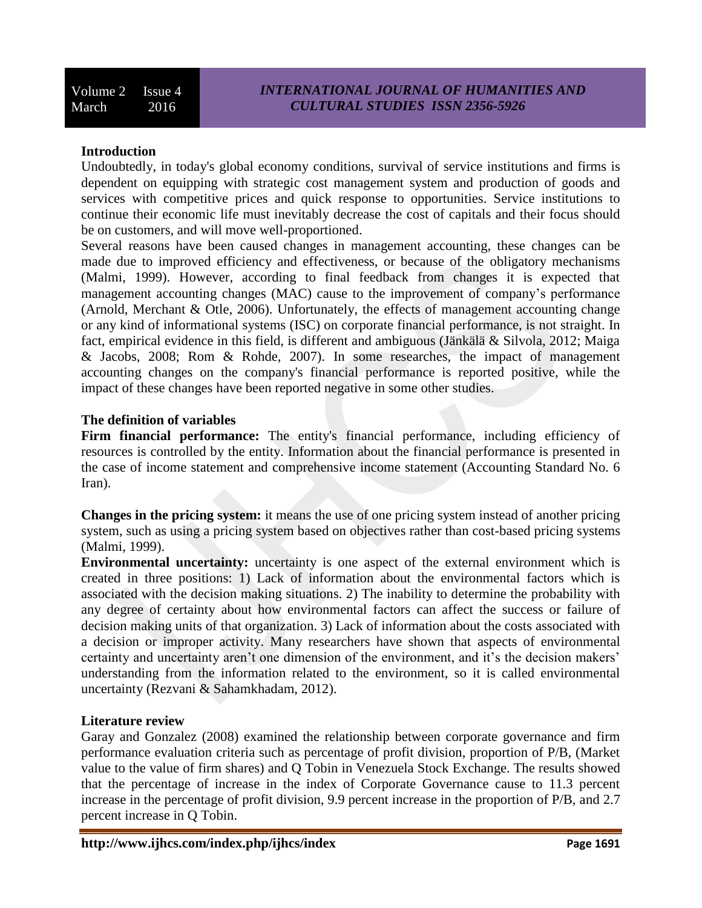## **Introduction**

Undoubtedly, in today's global economy conditions, survival of service institutions and firms is dependent on equipping with strategic cost management system and production of goods and services with competitive prices and quick response to opportunities. Service institutions to continue their economic life must inevitably decrease the cost of capitals and their focus should be on customers, and will move well-proportioned.

Several reasons have been caused changes in management accounting, these changes can be made due to improved efficiency and effectiveness, or because of the obligatory mechanisms (Malmi, 1999). However, according to final feedback from changes it is expected that management accounting changes (MAC) cause to the improvement of company's performance (Arnold, Merchant & Otle, 2006). Unfortunately, the effects of management accounting change or any kind of informational systems (ISC) on corporate financial performance, is not straight. In fact, empirical evidence in this field, is different and ambiguous (Jänkälä & Silvola, 2012; Maiga & Jacobs, 2008; Rom & Rohde, 2007). In some researches, the impact of management accounting changes on the company's financial performance is reported positive, while the impact of these changes have been reported negative in some other studies.

## **The definition of variables**

Firm financial performance: The entity's financial performance, including efficiency of resources is controlled by the entity. Information about the financial performance is presented in the case of income statement and comprehensive income statement (Accounting Standard No. 6 Iran).

**Changes in the pricing system:** it means the use of one pricing system instead of another pricing system, such as using a pricing system based on objectives rather than cost-based pricing systems (Malmi, 1999).

**Environmental uncertainty:** uncertainty is one aspect of the external environment which is created in three positions: 1) Lack of information about the environmental factors which is associated with the decision making situations. 2) The inability to determine the probability with any degree of certainty about how environmental factors can affect the success or failure of decision making units of that organization. 3) Lack of information about the costs associated with a decision or improper activity. Many researchers have shown that aspects of environmental certainty and uncertainty aren't one dimension of the environment, and it's the decision makers' understanding from the information related to the environment, so it is called environmental uncertainty (Rezvani & Sahamkhadam, 2012).

## **Literature review**

Garay and Gonzalez (2008) examined the relationship between corporate governance and firm performance evaluation criteria such as percentage of profit division, proportion of P/B, (Market value to the value of firm shares) and Q Tobin in Venezuela Stock Exchange. The results showed that the percentage of increase in the index of Corporate Governance cause to 11.3 percent increase in the percentage of profit division, 9.9 percent increase in the proportion of P/B, and 2.7 percent increase in Q Tobin.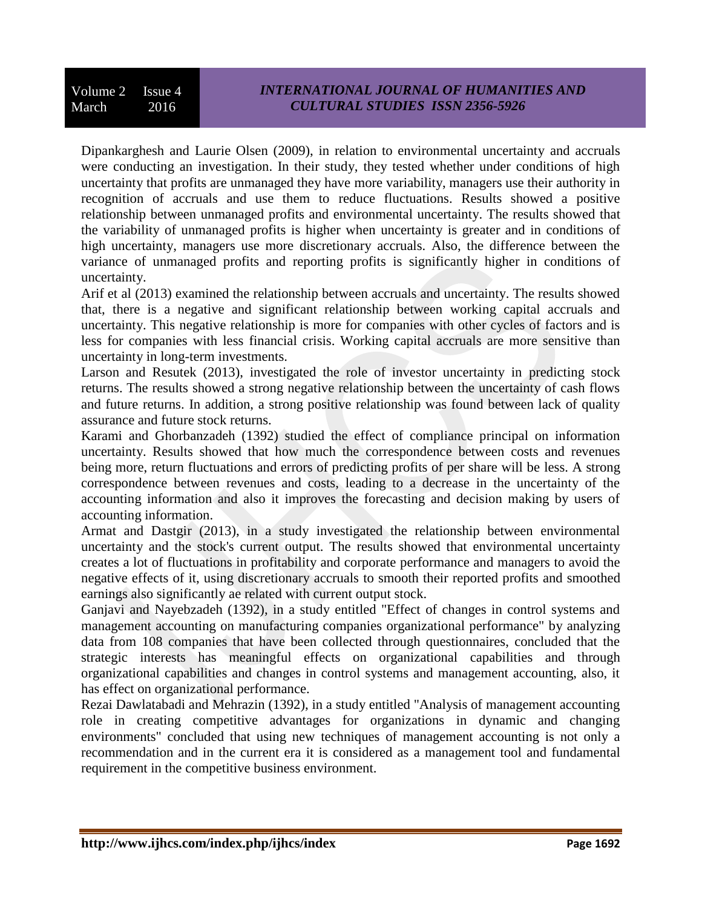Dipankarghesh and Laurie Olsen (2009), in relation to environmental uncertainty and accruals were conducting an investigation. In their study, they tested whether under conditions of high uncertainty that profits are unmanaged they have more variability, managers use their authority in recognition of accruals and use them to reduce fluctuations. Results showed a positive relationship between unmanaged profits and environmental uncertainty. The results showed that the variability of unmanaged profits is higher when uncertainty is greater and in conditions of high uncertainty, managers use more discretionary accruals. Also, the difference between the variance of unmanaged profits and reporting profits is significantly higher in conditions of uncertainty.

Arif et al (2013) examined the relationship between accruals and uncertainty. The results showed that, there is a negative and significant relationship between working capital accruals and uncertainty. This negative relationship is more for companies with other cycles of factors and is less for companies with less financial crisis. Working capital accruals are more sensitive than uncertainty in long-term investments.

Larson and Resutek (2013), investigated the role of investor uncertainty in predicting stock returns. The results showed a strong negative relationship between the uncertainty of cash flows and future returns. In addition, a strong positive relationship was found between lack of quality assurance and future stock returns.

Karami and Ghorbanzadeh (1392) studied the effect of compliance principal on information uncertainty. Results showed that how much the correspondence between costs and revenues being more, return fluctuations and errors of predicting profits of per share will be less. A strong correspondence between revenues and costs, leading to a decrease in the uncertainty of the accounting information and also it improves the forecasting and decision making by users of accounting information.

Armat and Dastgir (2013), in a study investigated the relationship between environmental uncertainty and the stock's current output. The results showed that environmental uncertainty creates a lot of fluctuations in profitability and corporate performance and managers to avoid the negative effects of it, using discretionary accruals to smooth their reported profits and smoothed earnings also significantly ae related with current output stock.

Ganjavi and Nayebzadeh (1392), in a study entitled "Effect of changes in control systems and management accounting on manufacturing companies organizational performance" by analyzing data from 108 companies that have been collected through questionnaires, concluded that the strategic interests has meaningful effects on organizational capabilities and through organizational capabilities and changes in control systems and management accounting, also, it has effect on organizational performance.

Rezai Dawlatabadi and Mehrazin (1392), in a study entitled "Analysis of management accounting role in creating competitive advantages for organizations in dynamic and changing environments" concluded that using new techniques of management accounting is not only a recommendation and in the current era it is considered as a management tool and fundamental requirement in the competitive business environment.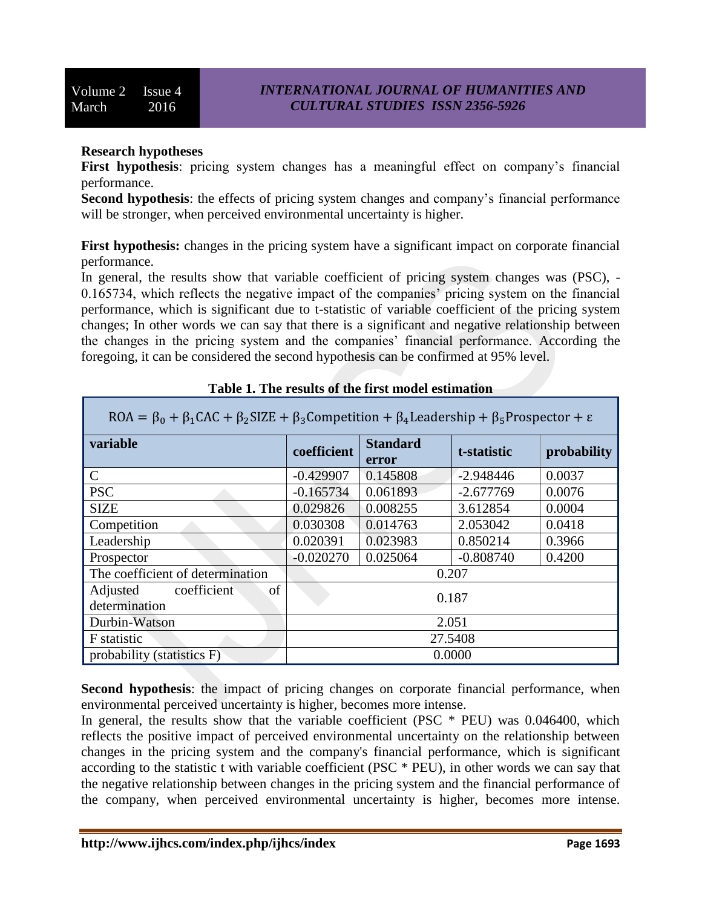## **Research hypotheses**

First hypothesis: pricing system changes has a meaningful effect on company's financial performance.

**Second hypothesis**: the effects of pricing system changes and company's financial performance will be stronger, when perceived environmental uncertainty is higher.

**First hypothesis:** changes in the pricing system have a significant impact on corporate financial performance.

In general, the results show that variable coefficient of pricing system changes was (PSC), -0.165734, which reflects the negative impact of the companies' pricing system on the financial performance, which is significant due to t-statistic of variable coefficient of the pricing system changes; In other words we can say that there is a significant and negative relationship between the changes in the pricing system and the companies' financial performance. According the foregoing, it can be considered the second hypothesis can be confirmed at 95% level.

| $NVA = p_0 + p_1CAC + p_2SDE + p_3COMDECUUOL + p_4DCAUCUSID + p_5DOSDCCUOL + c$ |             |                          |             |             |  |  |  |
|---------------------------------------------------------------------------------|-------------|--------------------------|-------------|-------------|--|--|--|
| variable                                                                        | coefficient | <b>Standard</b><br>error | t-statistic | probability |  |  |  |
| $\mathsf{C}$                                                                    | $-0.429907$ | 0.145808                 | $-2.948446$ | 0.0037      |  |  |  |
| <b>PSC</b>                                                                      | $-0.165734$ | 0.061893                 | $-2.677769$ | 0.0076      |  |  |  |
| <b>SIZE</b>                                                                     | 0.029826    | 0.008255                 | 3.612854    | 0.0004      |  |  |  |
| Competition                                                                     | 0.030308    | 0.014763                 | 2.053042    | 0.0418      |  |  |  |
| Leadership                                                                      | 0.020391    | 0.023983                 | 0.850214    | 0.3966      |  |  |  |
| Prospector                                                                      | $-0.020270$ | 0.025064                 | $-0.808740$ | 0.4200      |  |  |  |
| The coefficient of determination                                                | 0.207       |                          |             |             |  |  |  |
| coefficient<br>Adjusted<br>of<br>determination                                  | 0.187       |                          |             |             |  |  |  |
| Durbin-Watson                                                                   | 2.051       |                          |             |             |  |  |  |
| F statistic                                                                     | 27.5408     |                          |             |             |  |  |  |
| probability (statistics F)                                                      | 0.0000      |                          |             |             |  |  |  |

| Table 1. The results of the first model estimation |  |  |
|----------------------------------------------------|--|--|
|                                                    |  |  |

 $P(A = B \cup R CAC \cup R$  SIZE  $\cup R$  Compatition  $\cup R$  Londorship  $\cup R$  Prospector

**Second hypothesis**: the impact of pricing changes on corporate financial performance, when environmental perceived uncertainty is higher, becomes more intense.

In general, the results show that the variable coefficient (PSC \* PEU) was 0.046400, which reflects the positive impact of perceived environmental uncertainty on the relationship between changes in the pricing system and the company's financial performance, which is significant according to the statistic t with variable coefficient (PSC \* PEU), in other words we can say that the negative relationship between changes in the pricing system and the financial performance of the company, when perceived environmental uncertainty is higher, becomes more intense.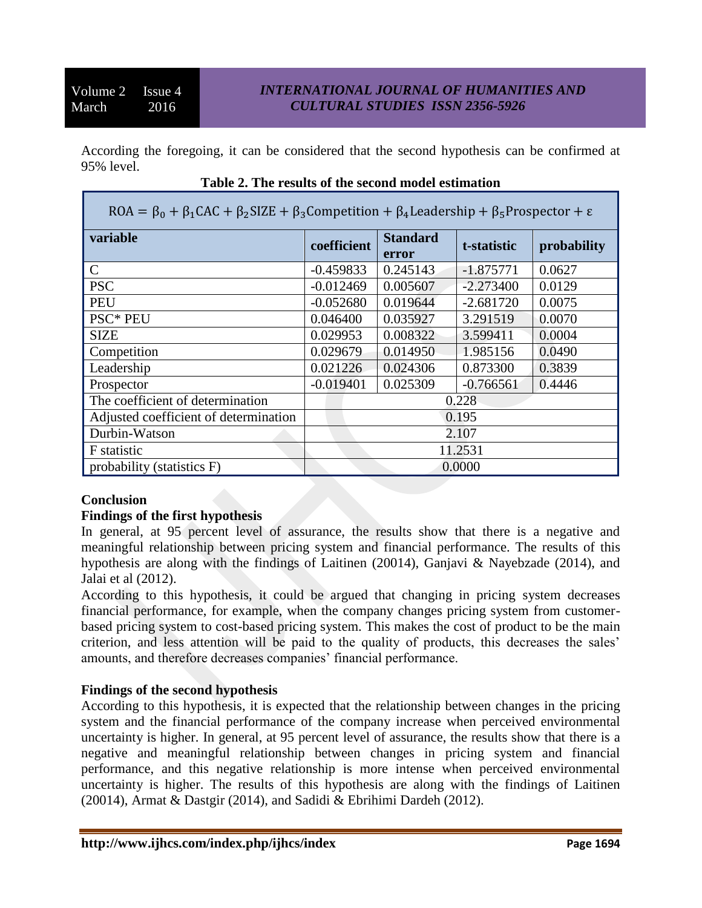According the foregoing, it can be considered that the second hypothesis can be confirmed at 95% level.

| $ROA = \beta_0 + \beta_1 CAC + \beta_2 SIZE + \beta_3$ Competition + $\beta_4$ Leadership + $\beta_5$ Prospector + $\varepsilon$ |             |                          |             |             |  |  |  |
|----------------------------------------------------------------------------------------------------------------------------------|-------------|--------------------------|-------------|-------------|--|--|--|
| variable                                                                                                                         | coefficient | <b>Standard</b><br>error | t-statistic | probability |  |  |  |
| $\mathcal{C}$                                                                                                                    | $-0.459833$ | 0.245143                 | $-1.875771$ | 0.0627      |  |  |  |
| <b>PSC</b>                                                                                                                       | $-0.012469$ | 0.005607                 | $-2.273400$ | 0.0129      |  |  |  |
| PEU                                                                                                                              | $-0.052680$ | 0.019644                 | $-2.681720$ | 0.0075      |  |  |  |
| <b>PSC* PEU</b>                                                                                                                  | 0.046400    | 0.035927                 | 3.291519    | 0.0070      |  |  |  |
| <b>SIZE</b>                                                                                                                      | 0.029953    | 0.008322                 | 3.599411    | 0.0004      |  |  |  |
| Competition                                                                                                                      | 0.029679    | 0.014950                 | 1.985156    | 0.0490      |  |  |  |
| Leadership                                                                                                                       | 0.021226    | 0.024306                 | 0.873300    | 0.3839      |  |  |  |
| Prospector                                                                                                                       | $-0.019401$ | 0.025309                 | $-0.766561$ | 0.4446      |  |  |  |
| The coefficient of determination                                                                                                 | 0.228       |                          |             |             |  |  |  |
| Adjusted coefficient of determination                                                                                            | 0.195       |                          |             |             |  |  |  |
| Durbin-Watson                                                                                                                    | 2.107       |                          |             |             |  |  |  |
| F statistic                                                                                                                      | 11.2531     |                          |             |             |  |  |  |
| probability (statistics F)                                                                                                       | 0.0000      |                          |             |             |  |  |  |

## **Table 2. The results of the second model estimation**

## **Conclusion**

## **Findings of the first hypothesis**

In general, at 95 percent level of assurance, the results show that there is a negative and meaningful relationship between pricing system and financial performance. The results of this hypothesis are along with the findings of Laitinen (20014), Ganjavi & Nayebzade (2014), and Jalai et al (2012).

According to this hypothesis, it could be argued that changing in pricing system decreases financial performance, for example, when the company changes pricing system from customerbased pricing system to cost-based pricing system. This makes the cost of product to be the main criterion, and less attention will be paid to the quality of products, this decreases the sales' amounts, and therefore decreases companies' financial performance.

# **Findings of the second hypothesis**

According to this hypothesis, it is expected that the relationship between changes in the pricing system and the financial performance of the company increase when perceived environmental uncertainty is higher. In general, at 95 percent level of assurance, the results show that there is a negative and meaningful relationship between changes in pricing system and financial performance, and this negative relationship is more intense when perceived environmental uncertainty is higher. The results of this hypothesis are along with the findings of Laitinen (20014), Armat & Dastgir (2014), and Sadidi & Ebrihimi Dardeh (2012).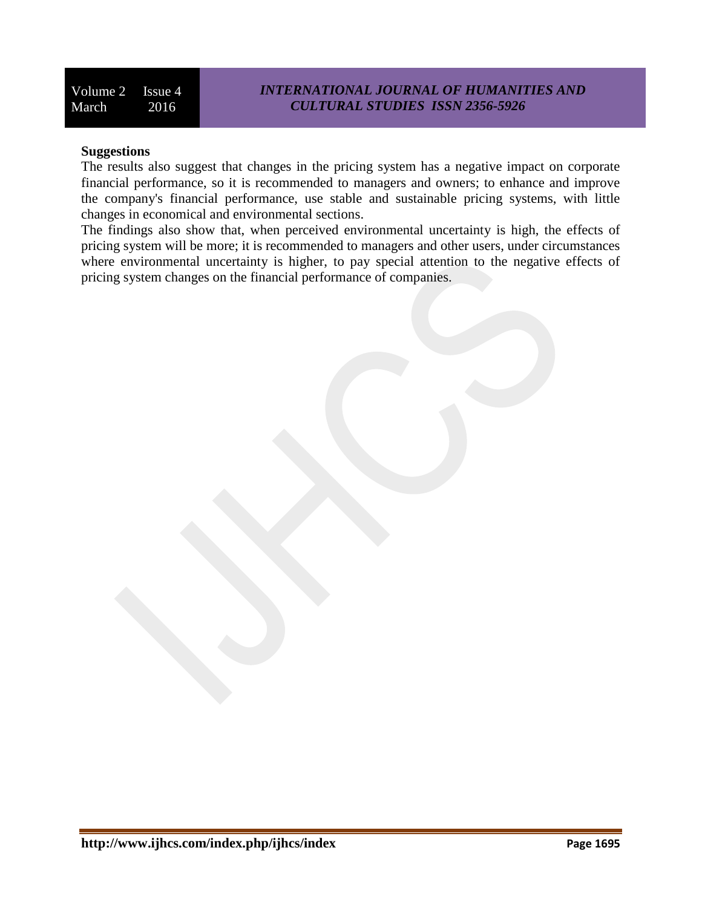Volume 2 Issue 4 March 2016

## **Suggestions**

The results also suggest that changes in the pricing system has a negative impact on corporate financial performance, so it is recommended to managers and owners; to enhance and improve the company's financial performance, use stable and sustainable pricing systems, with little changes in economical and environmental sections.

The findings also show that, when perceived environmental uncertainty is high, the effects of pricing system will be more; it is recommended to managers and other users, under circumstances where environmental uncertainty is higher, to pay special attention to the negative effects of pricing system changes on the financial performance of companies.